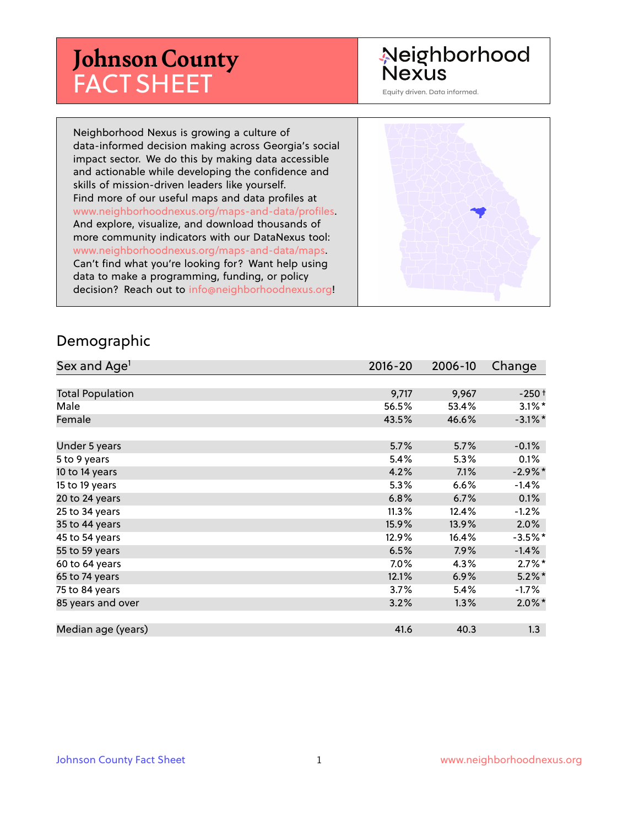# **Johnson County** FACT SHEET

# Neighborhood **Nexus**

Equity driven. Data informed.

Neighborhood Nexus is growing a culture of data-informed decision making across Georgia's social impact sector. We do this by making data accessible and actionable while developing the confidence and skills of mission-driven leaders like yourself. Find more of our useful maps and data profiles at www.neighborhoodnexus.org/maps-and-data/profiles. And explore, visualize, and download thousands of more community indicators with our DataNexus tool: www.neighborhoodnexus.org/maps-and-data/maps. Can't find what you're looking for? Want help using data to make a programming, funding, or policy decision? Reach out to [info@neighborhoodnexus.org!](mailto:info@neighborhoodnexus.org)



#### Demographic

| Sex and Age <sup>1</sup> | $2016 - 20$ | 2006-10 | Change     |
|--------------------------|-------------|---------|------------|
|                          |             |         |            |
| <b>Total Population</b>  | 9,717       | 9,967   | $-250+$    |
| Male                     | 56.5%       | 53.4%   | $3.1\%$ *  |
| Female                   | 43.5%       | 46.6%   | $-3.1\%$ * |
|                          |             |         |            |
| Under 5 years            | 5.7%        | 5.7%    | $-0.1%$    |
| 5 to 9 years             | 5.4%        | 5.3%    | 0.1%       |
| 10 to 14 years           | 4.2%        | 7.1%    | $-2.9\%$ * |
| 15 to 19 years           | 5.3%        | 6.6%    | $-1.4%$    |
| 20 to 24 years           | 6.8%        | 6.7%    | 0.1%       |
| 25 to 34 years           | 11.3%       | 12.4%   | $-1.2%$    |
| 35 to 44 years           | 15.9%       | 13.9%   | 2.0%       |
| 45 to 54 years           | 12.9%       | 16.4%   | $-3.5%$ *  |
| 55 to 59 years           | 6.5%        | $7.9\%$ | $-1.4%$    |
| 60 to 64 years           | 7.0%        | 4.3%    | $2.7\%$ *  |
| 65 to 74 years           | 12.1%       | 6.9%    | $5.2\%$ *  |
| 75 to 84 years           | 3.7%        | 5.4%    | $-1.7\%$   |
| 85 years and over        | 3.2%        | 1.3%    | $2.0\%$ *  |
|                          |             |         |            |
| Median age (years)       | 41.6        | 40.3    | 1.3        |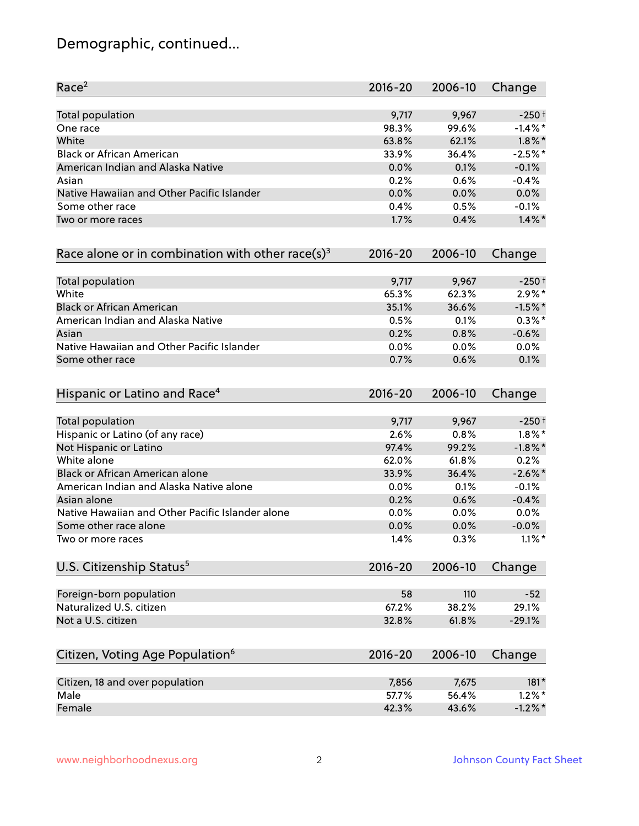# Demographic, continued...

| Race <sup>2</sup>                                            | $2016 - 20$ | 2006-10 | Change     |
|--------------------------------------------------------------|-------------|---------|------------|
| Total population                                             | 9,717       | 9,967   | $-250+$    |
| One race                                                     | 98.3%       | 99.6%   | $-1.4\%$ * |
| White                                                        | 63.8%       | 62.1%   | $1.8\%$ *  |
| <b>Black or African American</b>                             | 33.9%       | 36.4%   | $-2.5%$ *  |
| American Indian and Alaska Native                            | 0.0%        | 0.1%    | $-0.1%$    |
| Asian                                                        | 0.2%        | 0.6%    | $-0.4%$    |
| Native Hawaiian and Other Pacific Islander                   | 0.0%        | 0.0%    | 0.0%       |
| Some other race                                              | 0.4%        | 0.5%    | $-0.1%$    |
| Two or more races                                            | 1.7%        | 0.4%    | $1.4\%$ *  |
| Race alone or in combination with other race(s) <sup>3</sup> | $2016 - 20$ | 2006-10 | Change     |
| Total population                                             | 9,717       | 9,967   | $-250+$    |
| White                                                        | 65.3%       | 62.3%   | $2.9\%*$   |
| <b>Black or African American</b>                             | 35.1%       | 36.6%   | $-1.5%$ *  |
| American Indian and Alaska Native                            | 0.5%        | 0.1%    | $0.3\%$ *  |
| Asian                                                        | 0.2%        | 0.8%    | $-0.6%$    |
| Native Hawaiian and Other Pacific Islander                   | 0.0%        | 0.0%    | 0.0%       |
| Some other race                                              | 0.7%        | 0.6%    | 0.1%       |
| Hispanic or Latino and Race <sup>4</sup>                     | $2016 - 20$ | 2006-10 | Change     |
| <b>Total population</b>                                      | 9,717       | 9,967   | $-250+$    |
| Hispanic or Latino (of any race)                             | 2.6%        | 0.8%    | $1.8\%$ *  |
| Not Hispanic or Latino                                       | 97.4%       | 99.2%   | $-1.8\%$ * |
| White alone                                                  | 62.0%       | 61.8%   | 0.2%       |
| Black or African American alone                              | 33.9%       | 36.4%   | $-2.6\%$ * |
| American Indian and Alaska Native alone                      | 0.0%        | 0.1%    | $-0.1%$    |
| Asian alone                                                  | 0.2%        | 0.6%    | $-0.4%$    |
| Native Hawaiian and Other Pacific Islander alone             | 0.0%        | 0.0%    | $0.0\%$    |
| Some other race alone                                        | 0.0%        | 0.0%    | $-0.0\%$   |
| Two or more races                                            | 1.4%        | 0.3%    | $1.1\%$ *  |
| U.S. Citizenship Status <sup>5</sup>                         | $2016 - 20$ | 2006-10 | Change     |
| Foreign-born population                                      | 58          | 110     | $-52$      |
| Naturalized U.S. citizen                                     | 67.2%       | 38.2%   | 29.1%      |
| Not a U.S. citizen                                           | 32.8%       | 61.8%   | $-29.1%$   |
| Citizen, Voting Age Population <sup>6</sup>                  | $2016 - 20$ | 2006-10 | Change     |
| Citizen, 18 and over population                              | 7,856       | 7,675   | $181*$     |
| Male                                                         | 57.7%       | 56.4%   | $1.2\%$ *  |
| Female                                                       | 42.3%       | 43.6%   | $-1.2%$ *  |
|                                                              |             |         |            |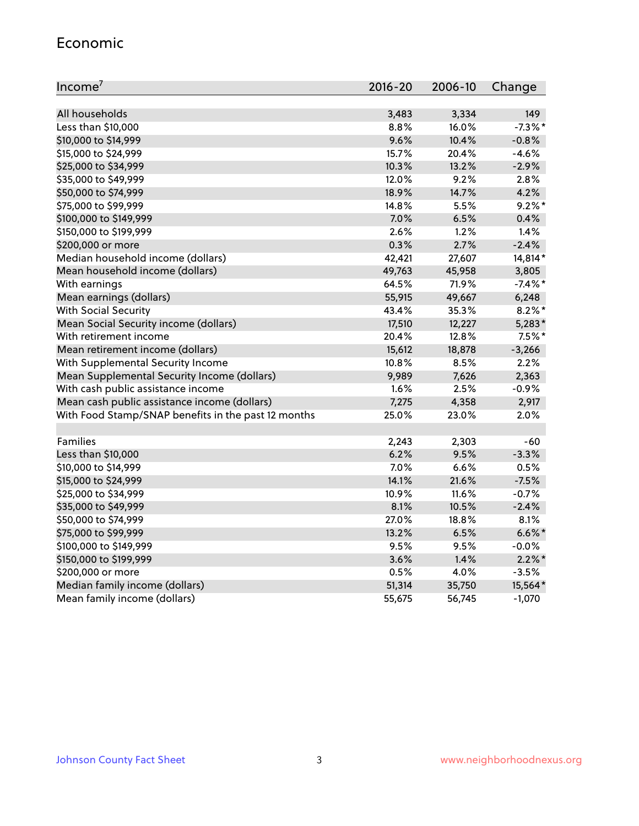#### Economic

| Income <sup>7</sup>                                 | $2016 - 20$ | 2006-10 | Change     |
|-----------------------------------------------------|-------------|---------|------------|
|                                                     |             |         |            |
| All households                                      | 3,483       | 3,334   | 149        |
| Less than \$10,000                                  | 8.8%        | 16.0%   | $-7.3\%$ * |
| \$10,000 to \$14,999                                | 9.6%        | 10.4%   | $-0.8%$    |
| \$15,000 to \$24,999                                | 15.7%       | 20.4%   | $-4.6%$    |
| \$25,000 to \$34,999                                | 10.3%       | 13.2%   | $-2.9%$    |
| \$35,000 to \$49,999                                | 12.0%       | 9.2%    | 2.8%       |
| \$50,000 to \$74,999                                | 18.9%       | 14.7%   | 4.2%       |
| \$75,000 to \$99,999                                | 14.8%       | 5.5%    | $9.2\%$ *  |
| \$100,000 to \$149,999                              | 7.0%        | 6.5%    | 0.4%       |
| \$150,000 to \$199,999                              | 2.6%        | 1.2%    | 1.4%       |
| \$200,000 or more                                   | 0.3%        | 2.7%    | $-2.4%$    |
| Median household income (dollars)                   | 42,421      | 27,607  | 14,814*    |
| Mean household income (dollars)                     | 49,763      | 45,958  | 3,805      |
| With earnings                                       | 64.5%       | 71.9%   | $-7.4\%$ * |
| Mean earnings (dollars)                             | 55,915      | 49,667  | 6,248      |
| <b>With Social Security</b>                         | 43.4%       | 35.3%   | $8.2\%$ *  |
| Mean Social Security income (dollars)               | 17,510      | 12,227  | $5,283*$   |
| With retirement income                              | 20.4%       | 12.8%   | $7.5\%$ *  |
| Mean retirement income (dollars)                    | 15,612      | 18,878  | $-3,266$   |
| With Supplemental Security Income                   | 10.8%       | 8.5%    | 2.2%       |
| Mean Supplemental Security Income (dollars)         | 9,989       | 7,626   | 2,363      |
| With cash public assistance income                  | 1.6%        | 2.5%    | $-0.9%$    |
| Mean cash public assistance income (dollars)        | 7,275       | 4,358   | 2,917      |
| With Food Stamp/SNAP benefits in the past 12 months | 25.0%       | 23.0%   | 2.0%       |
|                                                     |             |         |            |
| Families                                            | 2,243       | 2,303   | $-60$      |
| Less than \$10,000                                  | 6.2%        | 9.5%    | $-3.3%$    |
| \$10,000 to \$14,999                                | 7.0%        | 6.6%    | 0.5%       |
| \$15,000 to \$24,999                                | 14.1%       | 21.6%   | $-7.5%$    |
| \$25,000 to \$34,999                                | 10.9%       | 11.6%   | $-0.7%$    |
| \$35,000 to \$49,999                                | 8.1%        | 10.5%   | $-2.4%$    |
| \$50,000 to \$74,999                                | 27.0%       | 18.8%   | 8.1%       |
| \$75,000 to \$99,999                                | 13.2%       | 6.5%    | $6.6\%$ *  |
| \$100,000 to \$149,999                              | 9.5%        | 9.5%    | $-0.0%$    |
| \$150,000 to \$199,999                              | 3.6%        | 1.4%    | $2.2\%$ *  |
| \$200,000 or more                                   | 0.5%        | 4.0%    | $-3.5%$    |
| Median family income (dollars)                      | 51,314      | 35,750  | 15,564*    |
| Mean family income (dollars)                        | 55,675      | 56,745  | $-1,070$   |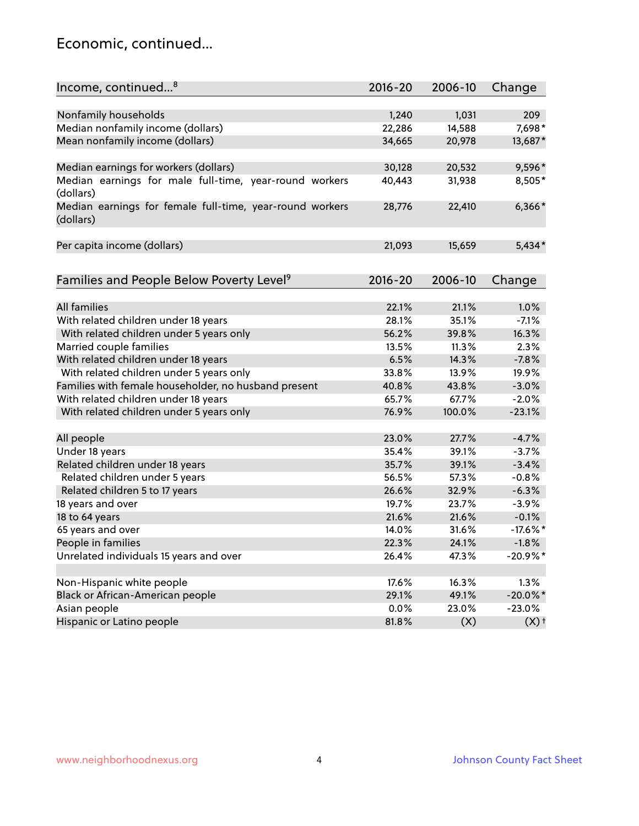### Economic, continued...

| Income, continued <sup>8</sup>                                        | $2016 - 20$ | 2006-10 | Change             |
|-----------------------------------------------------------------------|-------------|---------|--------------------|
|                                                                       |             |         |                    |
| Nonfamily households                                                  | 1,240       | 1,031   | 209                |
| Median nonfamily income (dollars)                                     | 22,286      | 14,588  | 7,698*             |
| Mean nonfamily income (dollars)                                       | 34,665      | 20,978  | 13,687*            |
| Median earnings for workers (dollars)                                 | 30,128      | 20,532  | 9,596*             |
| Median earnings for male full-time, year-round workers<br>(dollars)   | 40,443      | 31,938  | 8,505*             |
| Median earnings for female full-time, year-round workers<br>(dollars) | 28,776      | 22,410  | $6,366*$           |
| Per capita income (dollars)                                           | 21,093      | 15,659  | $5,434*$           |
|                                                                       | $2016 - 20$ | 2006-10 |                    |
| Families and People Below Poverty Level <sup>9</sup>                  |             |         | Change             |
| <b>All families</b>                                                   | 22.1%       | 21.1%   | 1.0%               |
| With related children under 18 years                                  | 28.1%       | 35.1%   | $-7.1%$            |
| With related children under 5 years only                              | 56.2%       | 39.8%   | 16.3%              |
| Married couple families                                               | 13.5%       | 11.3%   | 2.3%               |
| With related children under 18 years                                  | 6.5%        | 14.3%   | $-7.8%$            |
| With related children under 5 years only                              | 33.8%       | 13.9%   | 19.9%              |
| Families with female householder, no husband present                  | 40.8%       | 43.8%   | $-3.0%$            |
| With related children under 18 years                                  | 65.7%       | 67.7%   | $-2.0%$            |
| With related children under 5 years only                              | 76.9%       | 100.0%  | $-23.1%$           |
|                                                                       |             |         |                    |
| All people                                                            | 23.0%       | 27.7%   | $-4.7%$            |
| Under 18 years                                                        | 35.4%       | 39.1%   | $-3.7%$            |
| Related children under 18 years                                       | 35.7%       | 39.1%   | $-3.4%$            |
| Related children under 5 years                                        | 56.5%       | 57.3%   | $-0.8%$            |
| Related children 5 to 17 years                                        | 26.6%       | 32.9%   | $-6.3%$            |
| 18 years and over                                                     | 19.7%       | 23.7%   | $-3.9%$            |
| 18 to 64 years                                                        | 21.6%       | 21.6%   | $-0.1%$            |
| 65 years and over                                                     | 14.0%       | 31.6%   | $-17.6\%$ *        |
| People in families                                                    | 22.3%       | 24.1%   | $-1.8%$            |
| Unrelated individuals 15 years and over                               | 26.4%       | 47.3%   | $-20.9%$ *         |
| Non-Hispanic white people                                             | 17.6%       | 16.3%   | 1.3%               |
|                                                                       | 29.1%       | 49.1%   | $-20.0\%$ *        |
| Black or African-American people<br>Asian people                      | 0.0%        | 23.0%   | $-23.0%$           |
| Hispanic or Latino people                                             | 81.8%       | (X)     | $(X)$ <sup>+</sup> |
|                                                                       |             |         |                    |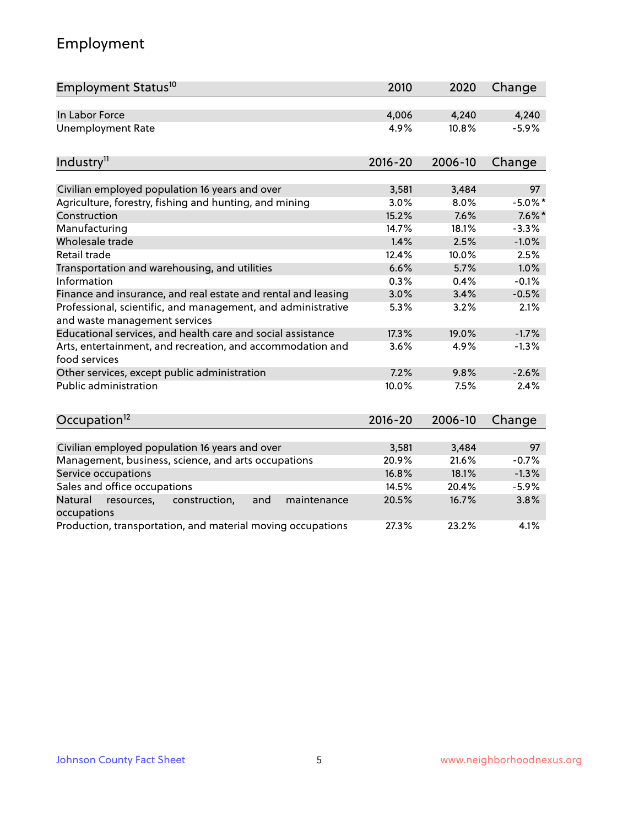# Employment

| Employment Status <sup>10</sup>                                                               | 2010        | 2020    | Change     |
|-----------------------------------------------------------------------------------------------|-------------|---------|------------|
| In Labor Force                                                                                | 4,006       | 4,240   | 4,240      |
| <b>Unemployment Rate</b>                                                                      | 4.9%        | 10.8%   | $-5.9%$    |
| Industry <sup>11</sup>                                                                        | $2016 - 20$ | 2006-10 | Change     |
|                                                                                               |             |         |            |
| Civilian employed population 16 years and over                                                | 3,581       | 3,484   | 97         |
| Agriculture, forestry, fishing and hunting, and mining                                        | 3.0%        | 8.0%    | $-5.0\%$ * |
| Construction                                                                                  | 15.2%       | 7.6%    | $7.6\%$ *  |
| Manufacturing                                                                                 | 14.7%       | 18.1%   | $-3.3%$    |
| Wholesale trade                                                                               | 1.4%        | 2.5%    | $-1.0%$    |
| Retail trade                                                                                  | 12.4%       | 10.0%   | 2.5%       |
| Transportation and warehousing, and utilities                                                 | 6.6%        | 5.7%    | 1.0%       |
| Information                                                                                   | 0.3%        | 0.4%    | $-0.1%$    |
| Finance and insurance, and real estate and rental and leasing                                 | 3.0%        | 3.4%    | $-0.5%$    |
| Professional, scientific, and management, and administrative<br>and waste management services | 5.3%        | 3.2%    | 2.1%       |
| Educational services, and health care and social assistance                                   | 17.3%       | 19.0%   | $-1.7%$    |
| Arts, entertainment, and recreation, and accommodation and<br>food services                   | 3.6%        | 4.9%    | $-1.3%$    |
| Other services, except public administration                                                  | 7.2%        | 9.8%    | $-2.6%$    |
| <b>Public administration</b>                                                                  | 10.0%       | 7.5%    | 2.4%       |
| Occupation <sup>12</sup>                                                                      | $2016 - 20$ | 2006-10 | Change     |
|                                                                                               |             |         |            |
| Civilian employed population 16 years and over                                                | 3,581       | 3,484   | 97         |
| Management, business, science, and arts occupations                                           | 20.9%       | 21.6%   | $-0.7%$    |
| Service occupations                                                                           | 16.8%       | 18.1%   | $-1.3%$    |
| Sales and office occupations                                                                  | 14.5%       | 20.4%   | $-5.9%$    |
| Natural<br>and<br>resources,<br>construction,<br>maintenance<br>occupations                   | 20.5%       | 16.7%   | 3.8%       |
| Production, transportation, and material moving occupations                                   | 27.3%       | 23.2%   | 4.1%       |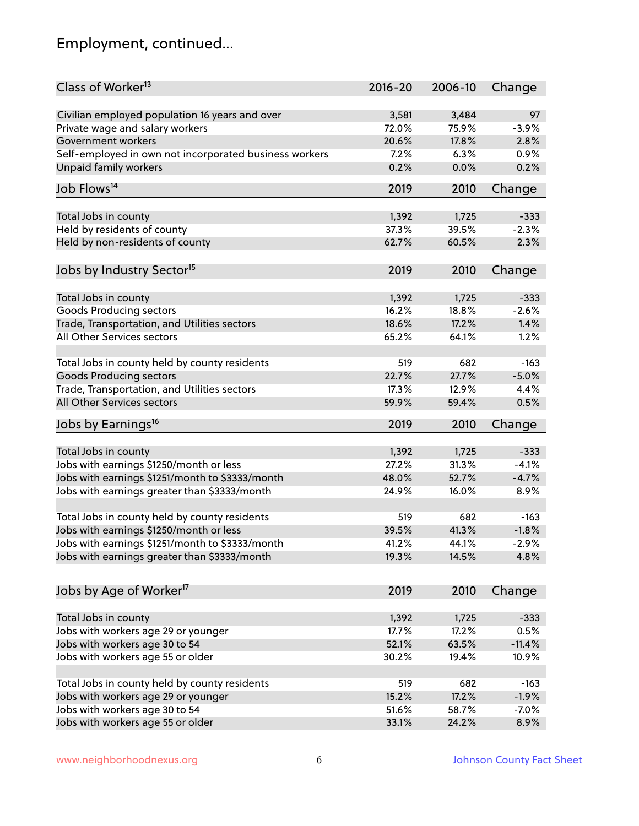# Employment, continued...

| Class of Worker <sup>13</sup>                                              | $2016 - 20$ | 2006-10 | Change   |
|----------------------------------------------------------------------------|-------------|---------|----------|
| Civilian employed population 16 years and over                             | 3,581       | 3,484   | 97       |
| Private wage and salary workers                                            | 72.0%       | 75.9%   | $-3.9%$  |
| Government workers                                                         | 20.6%       | 17.8%   | 2.8%     |
| Self-employed in own not incorporated business workers                     | 7.2%        | 6.3%    | 0.9%     |
| Unpaid family workers                                                      | 0.2%        | 0.0%    | 0.2%     |
| Job Flows <sup>14</sup>                                                    | 2019        | 2010    | Change   |
|                                                                            |             |         |          |
| Total Jobs in county                                                       | 1,392       | 1,725   | $-333$   |
| Held by residents of county                                                | 37.3%       | 39.5%   | $-2.3%$  |
| Held by non-residents of county                                            | 62.7%       | 60.5%   | 2.3%     |
|                                                                            |             |         |          |
| Jobs by Industry Sector <sup>15</sup>                                      | 2019        | 2010    | Change   |
|                                                                            | 1,392       | 1,725   | $-333$   |
| Total Jobs in county<br><b>Goods Producing sectors</b>                     | 16.2%       | 18.8%   | $-2.6%$  |
|                                                                            | 18.6%       | 17.2%   | 1.4%     |
| Trade, Transportation, and Utilities sectors<br>All Other Services sectors |             |         |          |
|                                                                            | 65.2%       | 64.1%   | 1.2%     |
| Total Jobs in county held by county residents                              | 519         | 682     | $-163$   |
| <b>Goods Producing sectors</b>                                             | 22.7%       | 27.7%   | $-5.0%$  |
| Trade, Transportation, and Utilities sectors                               | 17.3%       | 12.9%   | 4.4%     |
| All Other Services sectors                                                 | 59.9%       | 59.4%   | 0.5%     |
| Jobs by Earnings <sup>16</sup>                                             | 2019        | 2010    | Change   |
|                                                                            |             |         |          |
| Total Jobs in county                                                       | 1,392       | 1,725   | $-333$   |
| Jobs with earnings \$1250/month or less                                    | 27.2%       | 31.3%   | $-4.1%$  |
| Jobs with earnings \$1251/month to \$3333/month                            | 48.0%       | 52.7%   | $-4.7%$  |
| Jobs with earnings greater than \$3333/month                               | 24.9%       | 16.0%   | 8.9%     |
|                                                                            |             |         |          |
| Total Jobs in county held by county residents                              | 519         | 682     | $-163$   |
| Jobs with earnings \$1250/month or less                                    | 39.5%       | 41.3%   | $-1.8%$  |
| Jobs with earnings \$1251/month to \$3333/month                            | 41.2%       | 44.1%   | $-2.9\%$ |
| Jobs with earnings greater than \$3333/month                               | 19.3%       | 14.5%   | 4.8%     |
|                                                                            |             |         |          |
| Jobs by Age of Worker <sup>17</sup>                                        | 2019        | 2010    | Change   |
|                                                                            |             |         |          |
| Total Jobs in county                                                       | 1,392       | 1,725   | $-333$   |
| Jobs with workers age 29 or younger                                        | 17.7%       | 17.2%   | 0.5%     |
| Jobs with workers age 30 to 54                                             | 52.1%       | 63.5%   | $-11.4%$ |
| Jobs with workers age 55 or older                                          | 30.2%       | 19.4%   | 10.9%    |
| Total Jobs in county held by county residents                              | 519         | 682     | $-163$   |
| Jobs with workers age 29 or younger                                        | 15.2%       | 17.2%   | $-1.9%$  |
| Jobs with workers age 30 to 54                                             | 51.6%       | 58.7%   | $-7.0%$  |
| Jobs with workers age 55 or older                                          | 33.1%       | 24.2%   | 8.9%     |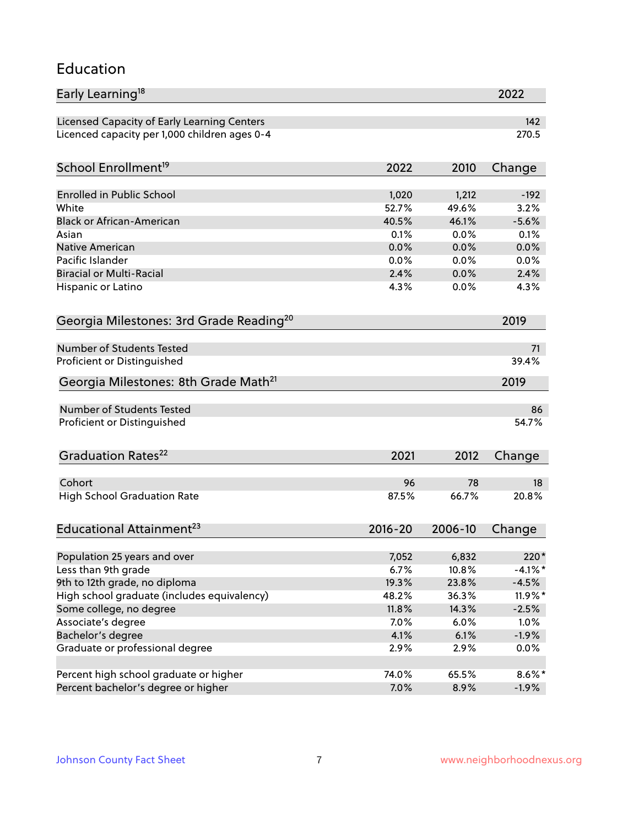#### Education

| Early Learning <sup>18</sup>                        |             |         | 2022       |
|-----------------------------------------------------|-------------|---------|------------|
| Licensed Capacity of Early Learning Centers         |             |         | 142        |
| Licenced capacity per 1,000 children ages 0-4       |             |         | 270.5      |
| School Enrollment <sup>19</sup>                     | 2022        | 2010    | Change     |
|                                                     |             |         |            |
| <b>Enrolled in Public School</b>                    | 1,020       | 1,212   | $-192$     |
| White                                               | 52.7%       | 49.6%   | 3.2%       |
| <b>Black or African-American</b>                    | 40.5%       | 46.1%   | $-5.6%$    |
| Asian                                               | 0.1%        | 0.0%    | 0.1%       |
| Native American                                     | 0.0%        | 0.0%    | 0.0%       |
| Pacific Islander                                    | 0.0%        | 0.0%    | 0.0%       |
| <b>Biracial or Multi-Racial</b>                     | 2.4%        | 0.0%    | 2.4%       |
| Hispanic or Latino                                  | 4.3%        | 0.0%    | 4.3%       |
| Georgia Milestones: 3rd Grade Reading <sup>20</sup> |             |         | 2019       |
|                                                     |             |         |            |
| <b>Number of Students Tested</b>                    |             |         | 71         |
| Proficient or Distinguished                         |             |         | 39.4%      |
| Georgia Milestones: 8th Grade Math <sup>21</sup>    |             |         | 2019       |
| <b>Number of Students Tested</b>                    |             |         | 86         |
| Proficient or Distinguished                         |             |         | 54.7%      |
| Graduation Rates <sup>22</sup>                      | 2021        | 2012    | Change     |
|                                                     |             |         |            |
| Cohort                                              | 96          | 78      | 18         |
| <b>High School Graduation Rate</b>                  | 87.5%       | 66.7%   | 20.8%      |
| Educational Attainment <sup>23</sup>                | $2016 - 20$ | 2006-10 | Change     |
|                                                     |             |         |            |
| Population 25 years and over                        | 7,052       | 6,832   | 220*       |
| Less than 9th grade                                 | 6.7%        | 10.8%   | $-4.1\%$ * |
| 9th to 12th grade, no diploma                       | 19.3%       | 23.8%   | $-4.5%$    |
| High school graduate (includes equivalency)         | 48.2%       | 36.3%   | 11.9%*     |
| Some college, no degree                             | 11.8%       | 14.3%   | $-2.5%$    |
| Associate's degree                                  | 7.0%        | 6.0%    | 1.0%       |
| Bachelor's degree                                   | 4.1%        | 6.1%    | $-1.9%$    |
| Graduate or professional degree                     | 2.9%        | 2.9%    | 0.0%       |
| Percent high school graduate or higher              | 74.0%       | 65.5%   | $8.6\%$ *  |
| Percent bachelor's degree or higher                 | 7.0%        | 8.9%    | $-1.9%$    |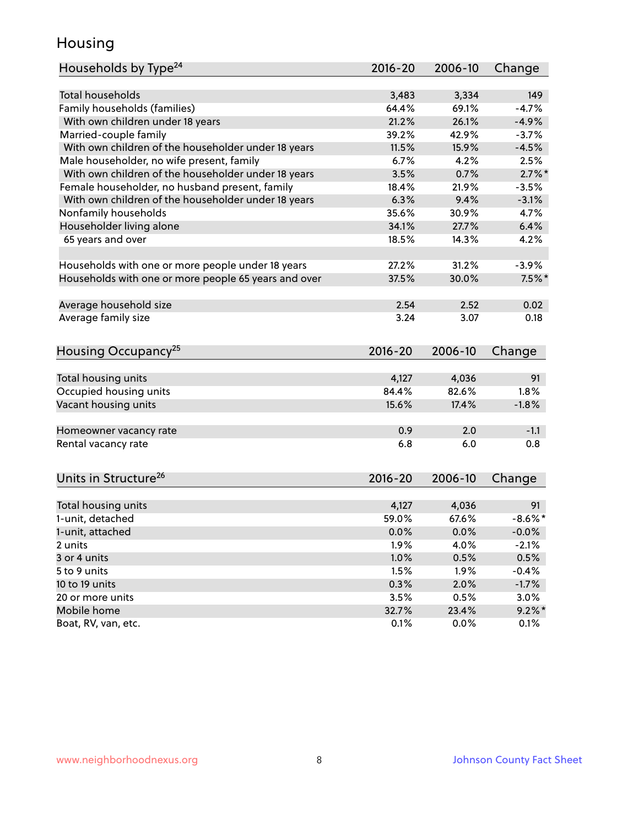### Housing

| Households by Type <sup>24</sup>                     | $2016 - 20$ | 2006-10 | Change     |
|------------------------------------------------------|-------------|---------|------------|
|                                                      |             |         |            |
| <b>Total households</b>                              | 3,483       | 3,334   | 149        |
| Family households (families)                         | 64.4%       | 69.1%   | $-4.7%$    |
| With own children under 18 years                     | 21.2%       | 26.1%   | $-4.9%$    |
| Married-couple family                                | 39.2%       | 42.9%   | $-3.7%$    |
| With own children of the householder under 18 years  | 11.5%       | 15.9%   | $-4.5%$    |
| Male householder, no wife present, family            | 6.7%        | 4.2%    | 2.5%       |
| With own children of the householder under 18 years  | 3.5%        | 0.7%    | $2.7\%$ *  |
| Female householder, no husband present, family       | 18.4%       | 21.9%   | $-3.5%$    |
| With own children of the householder under 18 years  | 6.3%        | 9.4%    | $-3.1%$    |
| Nonfamily households                                 | 35.6%       | 30.9%   | 4.7%       |
| Householder living alone                             | 34.1%       | 27.7%   | 6.4%       |
| 65 years and over                                    | 18.5%       | 14.3%   | 4.2%       |
|                                                      |             |         |            |
| Households with one or more people under 18 years    | 27.2%       | 31.2%   | $-3.9%$    |
| Households with one or more people 65 years and over | 37.5%       | 30.0%   | $7.5\%$ *  |
| Average household size                               | 2.54        | 2.52    | 0.02       |
| Average family size                                  | 3.24        | 3.07    | 0.18       |
|                                                      |             |         |            |
| Housing Occupancy <sup>25</sup>                      | $2016 - 20$ | 2006-10 | Change     |
|                                                      |             |         |            |
| Total housing units                                  | 4,127       | 4,036   | 91         |
| Occupied housing units                               | 84.4%       | 82.6%   | 1.8%       |
| Vacant housing units                                 | 15.6%       | 17.4%   | $-1.8%$    |
| Homeowner vacancy rate                               | 0.9         | 2.0     | $-1.1$     |
| Rental vacancy rate                                  | 6.8         | 6.0     | 0.8        |
|                                                      |             |         |            |
| Units in Structure <sup>26</sup>                     | $2016 - 20$ | 2006-10 | Change     |
| Total housing units                                  | 4,127       | 4,036   | 91         |
| 1-unit, detached                                     | 59.0%       | 67.6%   | $-8.6\%$ * |
|                                                      |             |         |            |
| 1-unit, attached                                     | 0.0%        | 0.0%    | $-0.0%$    |
| 2 units                                              | 1.9%        | 4.0%    | $-2.1%$    |
| 3 or 4 units                                         | 1.0%        | 0.5%    | 0.5%       |
| 5 to 9 units                                         | 1.5%        | 1.9%    | $-0.4%$    |
| 10 to 19 units                                       | 0.3%        | 2.0%    | $-1.7%$    |
| 20 or more units                                     | 3.5%        | 0.5%    | 3.0%       |
| Mobile home                                          | 32.7%       | 23.4%   | $9.2\%$ *  |
| Boat, RV, van, etc.                                  | 0.1%        | 0.0%    | 0.1%       |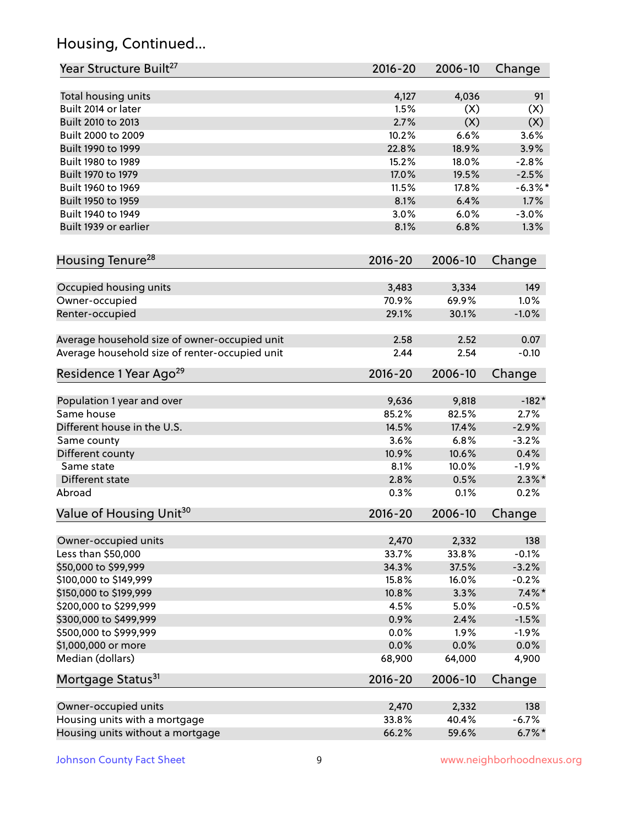# Housing, Continued...

| Year Structure Built <sup>27</sup>             | 2016-20       | 2006-10    | Change        |
|------------------------------------------------|---------------|------------|---------------|
|                                                |               |            |               |
| Total housing units<br>Built 2014 or later     | 4,127<br>1.5% | 4,036      | 91            |
| Built 2010 to 2013                             | 2.7%          | (X)<br>(X) | (X)           |
|                                                |               | 6.6%       | (X)<br>3.6%   |
| Built 2000 to 2009                             | 10.2%         |            |               |
| Built 1990 to 1999                             | 22.8%         | 18.9%      | 3.9%          |
| Built 1980 to 1989                             | 15.2%         | 18.0%      | $-2.8%$       |
| Built 1970 to 1979                             | 17.0%         | 19.5%      | $-2.5%$       |
| Built 1960 to 1969                             | 11.5%         | 17.8%      | $-6.3\%$ *    |
| Built 1950 to 1959                             | 8.1%          | 6.4%       | 1.7%          |
| Built 1940 to 1949                             | 3.0%          | 6.0%       | $-3.0%$       |
| Built 1939 or earlier                          | 8.1%          | 6.8%       | 1.3%          |
| Housing Tenure <sup>28</sup>                   | 2016-20       | 2006-10    | Change        |
| Occupied housing units                         | 3,483         | 3,334      | 149           |
| Owner-occupied                                 | 70.9%         | 69.9%      | 1.0%          |
| Renter-occupied                                | 29.1%         | 30.1%      | $-1.0%$       |
|                                                |               |            |               |
| Average household size of owner-occupied unit  | 2.58          | 2.52       | 0.07          |
| Average household size of renter-occupied unit | 2.44          | 2.54       | $-0.10$       |
| Residence 1 Year Ago <sup>29</sup>             | 2016-20       | 2006-10    | Change        |
|                                                |               |            |               |
| Population 1 year and over                     | 9,636         | 9,818      | $-182*$       |
| Same house                                     | 85.2%         | 82.5%      | 2.7%          |
| Different house in the U.S.                    | 14.5%         | 17.4%      | $-2.9%$       |
| Same county                                    | 3.6%          | 6.8%       | $-3.2%$       |
| Different county                               | 10.9%         | 10.6%      | 0.4%          |
| Same state                                     | 8.1%          | 10.0%      | $-1.9%$       |
| Different state                                | 2.8%          | 0.5%       | $2.3\%$ *     |
| Abroad                                         | 0.3%          | 0.1%       | 0.2%          |
| Value of Housing Unit <sup>30</sup>            | $2016 - 20$   | 2006-10    | Change        |
| Owner-occupied units                           | 2,470         | 2,332      | 138           |
| Less than \$50,000                             | 33.7%         | 33.8%      | $-0.1%$       |
| \$50,000 to \$99,999                           | 34.3%         | 37.5%      | $-3.2%$       |
| \$100,000 to \$149,999                         | 15.8%         | 16.0%      | $-0.2%$       |
| \$150,000 to \$199,999                         | 10.8%         | 3.3%       | $7.4\%$ *     |
| \$200,000 to \$299,999                         | 4.5%          | 5.0%       | $-0.5%$       |
| \$300,000 to \$499,999                         | 0.9%          | 2.4%       | $-1.5%$       |
| \$500,000 to \$999,999                         | 0.0%          | 1.9%       | $-1.9%$       |
|                                                | 0.0%          | 0.0%       |               |
| \$1,000,000 or more<br>Median (dollars)        | 68,900        | 64,000     | 0.0%<br>4,900 |
| Mortgage Status <sup>31</sup>                  | $2016 - 20$   | 2006-10    | Change        |
|                                                |               |            |               |
| Owner-occupied units                           | 2,470         | 2,332      | 138           |
| Housing units with a mortgage                  | 33.8%         | 40.4%      | $-6.7%$       |
| Housing units without a mortgage               | 66.2%         | 59.6%      | $6.7\%$ *     |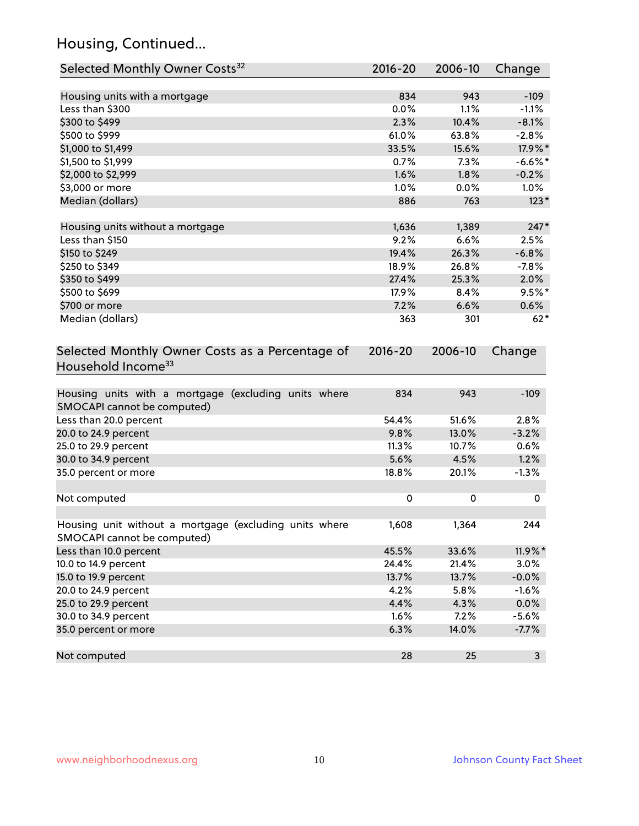# Housing, Continued...

| Selected Monthly Owner Costs <sup>32</sup>                                            | 2016-20     | 2006-10 | Change     |
|---------------------------------------------------------------------------------------|-------------|---------|------------|
| Housing units with a mortgage                                                         | 834         | 943     | $-109$     |
| Less than \$300                                                                       | 0.0%        | 1.1%    | $-1.1%$    |
| \$300 to \$499                                                                        | 2.3%        | 10.4%   | $-8.1%$    |
| \$500 to \$999                                                                        | 61.0%       | 63.8%   | $-2.8%$    |
| \$1,000 to \$1,499                                                                    | 33.5%       | 15.6%   | 17.9%*     |
| \$1,500 to \$1,999                                                                    | 0.7%        | 7.3%    | $-6.6%$ *  |
| \$2,000 to \$2,999                                                                    | 1.6%        | 1.8%    | $-0.2%$    |
| \$3,000 or more                                                                       | 1.0%        | 0.0%    | $1.0\%$    |
| Median (dollars)                                                                      | 886         | 763     | $123*$     |
| Housing units without a mortgage                                                      | 1,636       | 1,389   | $247*$     |
| Less than \$150                                                                       | 9.2%        | 6.6%    | 2.5%       |
| \$150 to \$249                                                                        | 19.4%       | 26.3%   | $-6.8%$    |
| \$250 to \$349                                                                        | 18.9%       | 26.8%   | $-7.8%$    |
| \$350 to \$499                                                                        | 27.4%       | 25.3%   | 2.0%       |
| \$500 to \$699                                                                        | 17.9%       | 8.4%    | $9.5%$ *   |
| \$700 or more                                                                         | 7.2%        | 6.6%    | 0.6%       |
| Median (dollars)                                                                      | 363         | 301     | $62*$      |
| Selected Monthly Owner Costs as a Percentage of<br>Household Income <sup>33</sup>     | $2016 - 20$ | 2006-10 | Change     |
| Housing units with a mortgage (excluding units where<br>SMOCAPI cannot be computed)   | 834         | 943     | $-109$     |
| Less than 20.0 percent                                                                | 54.4%       | 51.6%   | 2.8%       |
| 20.0 to 24.9 percent                                                                  | 9.8%        | 13.0%   | $-3.2%$    |
| 25.0 to 29.9 percent                                                                  | 11.3%       | 10.7%   | 0.6%       |
| 30.0 to 34.9 percent                                                                  | 5.6%        | 4.5%    | 1.2%       |
| 35.0 percent or more                                                                  | 18.8%       | 20.1%   | $-1.3%$    |
| Not computed                                                                          | 0           | 0       | 0          |
| Housing unit without a mortgage (excluding units where<br>SMOCAPI cannot be computed) | 1,608       | 1,364   | 244        |
| Less than 10.0 percent                                                                | 45.5%       | 33.6%   | $11.9\%$ * |
| 10.0 to 14.9 percent                                                                  | 24.4%       | 21.4%   | 3.0%       |
| 15.0 to 19.9 percent                                                                  | 13.7%       | 13.7%   | $-0.0%$    |
| 20.0 to 24.9 percent                                                                  | 4.2%        | 5.8%    | $-1.6%$    |
| 25.0 to 29.9 percent                                                                  | 4.4%        | 4.3%    | 0.0%       |
| 30.0 to 34.9 percent                                                                  | 1.6%        | 7.2%    | $-5.6%$    |
| 35.0 percent or more                                                                  | 6.3%        | 14.0%   | $-7.7%$    |
| Not computed                                                                          | 28          | 25      | 3          |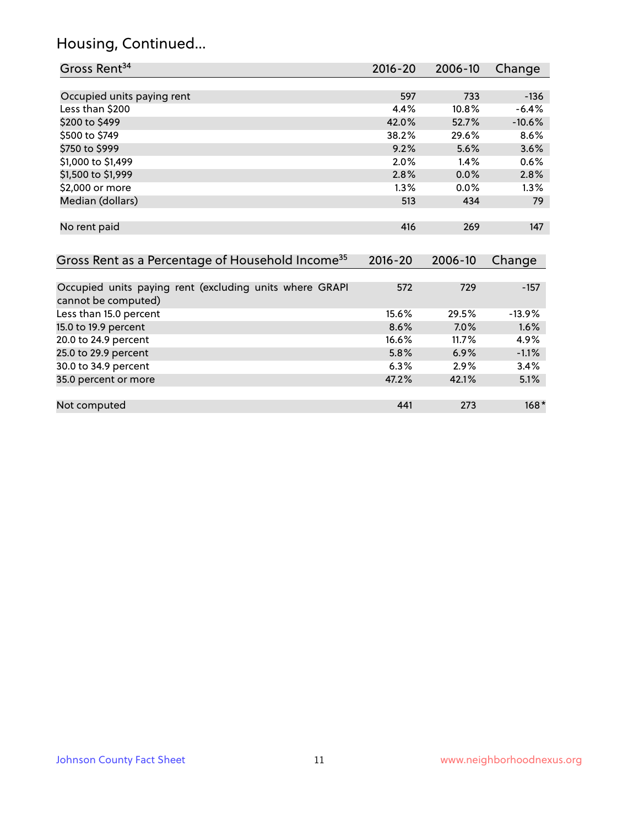# Housing, Continued...

| Gross Rent <sup>34</sup>                                                       | 2016-20     | 2006-10 | Change   |
|--------------------------------------------------------------------------------|-------------|---------|----------|
|                                                                                |             |         |          |
| Occupied units paying rent                                                     | 597         | 733     | $-136$   |
| Less than \$200                                                                | 4.4%        | 10.8%   | $-6.4%$  |
| \$200 to \$499                                                                 | 42.0%       | 52.7%   | $-10.6%$ |
| \$500 to \$749                                                                 | 38.2%       | 29.6%   | 8.6%     |
| \$750 to \$999                                                                 | 9.2%        | 5.6%    | 3.6%     |
| \$1,000 to \$1,499                                                             | 2.0%        | 1.4%    | 0.6%     |
| \$1,500 to \$1,999                                                             | 2.8%        | 0.0%    | 2.8%     |
| \$2,000 or more                                                                | 1.3%        | 0.0%    | 1.3%     |
| Median (dollars)                                                               | 513         | 434     | 79       |
|                                                                                |             |         |          |
| No rent paid                                                                   | 416         | 269     | 147      |
|                                                                                |             |         |          |
| Gross Rent as a Percentage of Household Income <sup>35</sup>                   | $2016 - 20$ | 2006-10 | Change   |
|                                                                                |             |         |          |
| Occupied units paying rent (excluding units where GRAPI<br>cannot be computed) | 572         | 729     | $-157$   |
| Less than 15.0 percent                                                         | 15.6%       | 29.5%   | $-13.9%$ |
| 15.0 to 19.9 percent                                                           | 8.6%        | 7.0%    | 1.6%     |
| 20.0 to 24.9 percent                                                           | 16.6%       | 11.7%   | 4.9%     |
| 25.0 to 29.9 percent                                                           | 5.8%        | 6.9%    | $-1.1%$  |
| 30.0 to 34.9 percent                                                           | 6.3%        | 2.9%    | 3.4%     |
| 35.0 percent or more                                                           | 47.2%       | 42.1%   | 5.1%     |
|                                                                                |             |         |          |
| Not computed                                                                   | 441         | 273     | $168*$   |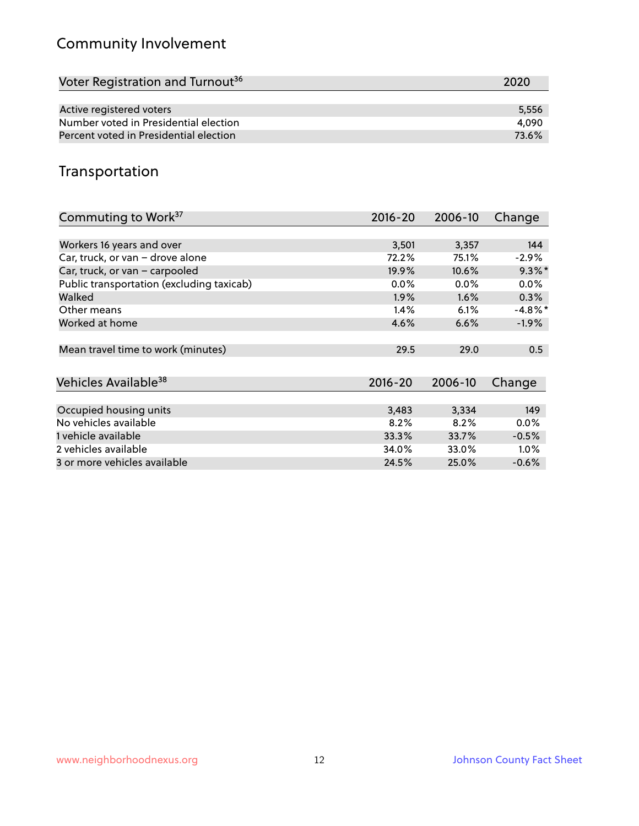# Community Involvement

| Voter Registration and Turnout <sup>36</sup> | 2020  |
|----------------------------------------------|-------|
|                                              |       |
| Active registered voters                     | 5,556 |
| Number voted in Presidential election        | 4.090 |
| Percent voted in Presidential election       | 73.6% |

## Transportation

| Commuting to Work <sup>37</sup>           | 2016-20 | 2006-10 | Change     |
|-------------------------------------------|---------|---------|------------|
|                                           |         |         |            |
| Workers 16 years and over                 | 3,501   | 3,357   | 144        |
| Car, truck, or van - drove alone          | 72.2%   | 75.1%   | $-2.9\%$   |
| Car, truck, or van - carpooled            | 19.9%   | 10.6%   | $9.3\%$ *  |
| Public transportation (excluding taxicab) | $0.0\%$ | $0.0\%$ | $0.0\%$    |
| Walked                                    | $1.9\%$ | $1.6\%$ | 0.3%       |
| Other means                               | 1.4%    | 6.1%    | $-4.8\%$ * |
| Worked at home                            | 4.6%    | 6.6%    | $-1.9%$    |
|                                           |         |         |            |
| Mean travel time to work (minutes)        | 29.5    | 29.0    | 0.5        |
|                                           |         |         |            |
| Vehicles Available <sup>38</sup>          | 2016-20 | 2006-10 | Change     |
|                                           |         |         |            |
| Occupied housing units                    | 3,483   | 3,334   | 149        |
| No vehicles available                     | 8.2%    | 8.2%    | $0.0\%$    |
| 1 vehicle available                       | 33.3%   | 33.7%   | $-0.5%$    |
| 2 vehicles available                      | 34.0%   | 33.0%   | $1.0\%$    |
| 3 or more vehicles available              | 24.5%   | 25.0%   | $-0.6%$    |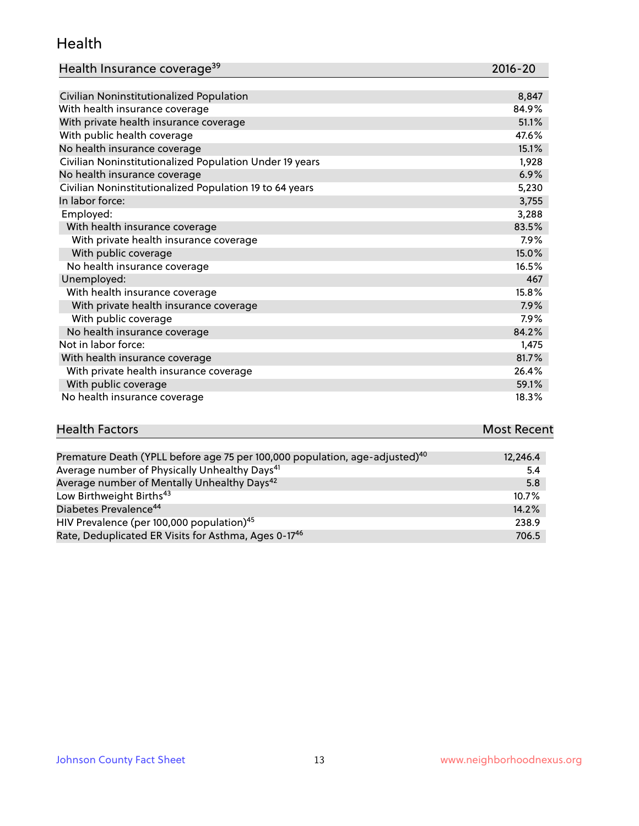#### Health

| Health Insurance coverage <sup>39</sup> | 2016-20 |
|-----------------------------------------|---------|
|-----------------------------------------|---------|

| Civilian Noninstitutionalized Population                | 8,847   |
|---------------------------------------------------------|---------|
| With health insurance coverage                          | 84.9%   |
| With private health insurance coverage                  | 51.1%   |
| With public health coverage                             | 47.6%   |
| No health insurance coverage                            | 15.1%   |
| Civilian Noninstitutionalized Population Under 19 years | 1,928   |
| No health insurance coverage                            | 6.9%    |
| Civilian Noninstitutionalized Population 19 to 64 years | 5,230   |
| In labor force:                                         | 3,755   |
| Employed:                                               | 3,288   |
| With health insurance coverage                          | 83.5%   |
| With private health insurance coverage                  | $7.9\%$ |
| With public coverage                                    | 15.0%   |
| No health insurance coverage                            | 16.5%   |
| Unemployed:                                             | 467     |
| With health insurance coverage                          | 15.8%   |
| With private health insurance coverage                  | 7.9%    |
| With public coverage                                    | $7.9\%$ |
| No health insurance coverage                            | 84.2%   |
| Not in labor force:                                     | 1,475   |
| With health insurance coverage                          | 81.7%   |
| With private health insurance coverage                  | 26.4%   |
| With public coverage                                    | 59.1%   |
| No health insurance coverage                            | 18.3%   |

| <b>Health Factors</b> | <b>Most Recent</b> |
|-----------------------|--------------------|
|                       |                    |

| Premature Death (YPLL before age 75 per 100,000 population, age-adjusted) <sup>40</sup> | 12,246.4 |
|-----------------------------------------------------------------------------------------|----------|
| Average number of Physically Unhealthy Days <sup>41</sup>                               | 5.4      |
| Average number of Mentally Unhealthy Days <sup>42</sup>                                 | 5.8      |
| Low Birthweight Births <sup>43</sup>                                                    | $10.7\%$ |
| Diabetes Prevalence <sup>44</sup>                                                       | 14.2%    |
| HIV Prevalence (per 100,000 population) <sup>45</sup>                                   | 238.9    |
| Rate, Deduplicated ER Visits for Asthma, Ages 0-17 <sup>46</sup>                        | 706.5    |